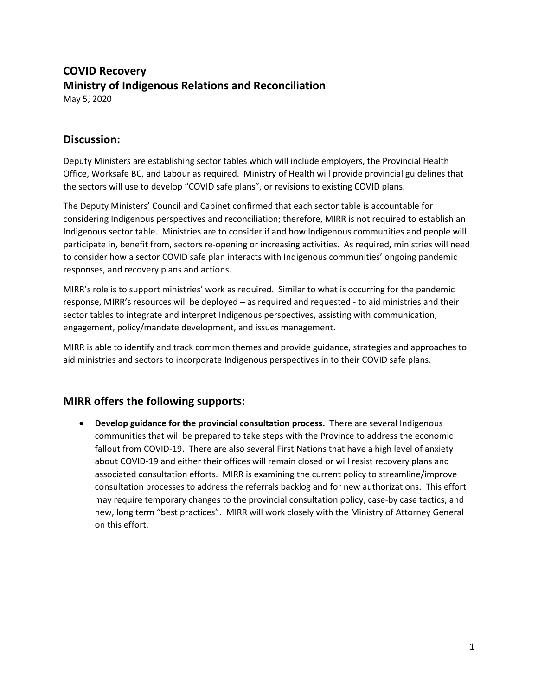## **COVID Recovery Ministry of Indigenous Relations and Reconciliation** May 5, 2020

**Discussion:**

Deputy Ministers are establishing sector tables which will include employers, the Provincial Health Office, Worksafe BC, and Labour as required. Ministry of Health will provide provincial guidelines that the sectors will use to develop "COVID safe plans", or revisions to existing COVID plans.

The Deputy Ministers' Council and Cabinet confirmed that each sector table is accountable for considering Indigenous perspectives and reconciliation; therefore, MIRR is not required to establish an Indigenous sector table. Ministries are to consider if and how Indigenous communities and people will participate in, benefit from, sectors re-opening or increasing activities. As required, ministries will need to consider how a sector COVID safe plan interacts with Indigenous communities' ongoing pandemic responses, and recovery plans and actions.

MIRR's role is to support ministries' work as required. Similar to what is occurring for the pandemic response, MIRR's resources will be deployed – as required and requested - to aid ministries and their sector tables to integrate and interpret Indigenous perspectives, assisting with communication, engagement, policy/mandate development, and issues management.

MIRR is able to identify and track common themes and provide guidance, strategies and approaches to aid ministries and sectors to incorporate Indigenous perspectives in to their COVID safe plans.

## **MIRR offers the following supports:**

• **Develop guidance for the provincial consultation process.** There are several Indigenous communities that will be prepared to take steps with the Province to address the economic fallout from COVID-19. There are also several First Nations that have a high level of anxiety about COVID-19 and either their offices will remain closed or will resist recovery plans and associated consultation efforts. MIRR is examining the current policy to streamline/improve consultation processes to address the referrals backlog and for new authorizations. This effort may require temporary changes to the provincial consultation policy, case-by case tactics, and new, long term "best practices". MIRR will work closely with the Ministry of Attorney General on this effort.